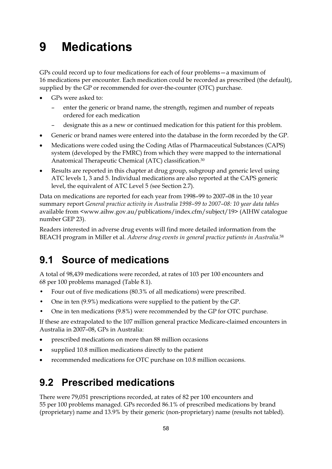# **9 Medications**

GPs could record up to four medications for each of four problems—a maximum of 16 medications per encounter. Each medication could be recorded as prescribed (the default), supplied by the GP or recommended for over-the-counter (OTC) purchase.

- - GPs were asked to:
	- enter the generic or brand name, the strength, regimen and number of repeats ordered for each medication
	- designate this as a new or continued medication for this patient for this problem.
- -Generic or brand names were entered into the database in the form recorded by the GP.
- $\bullet$  Medications were coded using the Coding Atlas of Pharmaceutical Substances (CAPS) system (developed by the FMRC) from which they were mapped to the international Anatomical Therapeutic Chemical (ATC) classification.30
- $\bullet$  Results are reported in this chapter at drug group, subgroup and generic level using ATC levels 1, 3 and 5. Individual medications are also reported at the CAPS generic level, the equivalent of ATC Level 5 *(*see Section 2.7).

Data on medications are reported for each year from 1998–99 to 2007–08 in the 10 year summary report *General practice activity in Australia 1998–99 to 2007–08: 10 year data tables*  available from <www.aihw.gov.au/publications/index.cfm/subject/19> (AIHW catalogue number GEP 23).

Readers interested in adverse drug events will find more detailed information from the BEACH program in Miller et al. *Adverse drug events in general practice patients in Australia*.58

## **9.1 Source of medications**

A total of 98,439 medications were recorded, at rates of 103 per 100 encounters and 68 per 100 problems managed (Table 8.1).

- Four out of five medications (80.3% of all medications) were prescribed.
- One in ten (9.9%) medications were supplied to the patient by the GP.
- One in ten medications (9.8%) were recommended by the GP for OTC purchase.

If these are extrapolated to the 107 million general practice Medicare-claimed encounters in Australia in 2007–08, GPs in Australia:

- prescribed medications on more than 88 million occasions
- $\bullet$ supplied 10.8 million medications directly to the patient
- $\bullet$ recommended medications for OTC purchase on 10.8 million occasions.

## **9.2 Prescribed medications**

There were 79,051 prescriptions recorded, at rates of 82 per 100 encounters and 55 per 100 problems managed. GPs recorded 86.1% of prescribed medications by brand (proprietary) name and 13.9% by their generic (non-proprietary) name (results not tabled).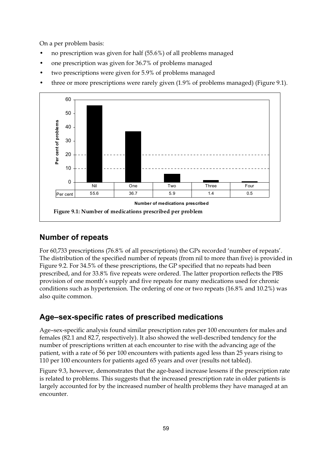On a per problem basis:

- no prescription was given for half (55.6%) of all problems managed
- one prescription was given for 36.7% of problems managed
- two prescriptions were given for 5.9% of problems managed
- three or more prescriptions were rarely given (1.9% of problems managed) (Figure 9.1).



### **Number of repeats**

For 60,733 prescriptions (76.8% of all prescriptions) the GPs recorded 'number of repeats'. The distribution of the specified number of repeats (from nil to more than five) is provided in Figure 9.2. For 34.5% of these prescriptions, the GP specified that no repeats had been prescribed, and for 33.8% five repeats were ordered. The latter proportion reflects the PBS provision of one month's supply and five repeats for many medications used for chronic conditions such as hypertension. The ordering of one or two repeats (16.8% and 10.2%) was also quite common.

### **Age–sex-specific rates of prescribed medications**

Age–sex-specific analysis found similar prescription rates per 100 encounters for males and females (82.1 and 82.7, respectively). It also showed the well-described tendency for the number of prescriptions written at each encounter to rise with the advancing age of the patient, with a rate of 56 per 100 encounters with patients aged less than 25 years rising to 110 per 100 encounters for patients aged 65 years and over (results not tabled).

Figure 9.3, however, demonstrates that the age-based increase lessens if the prescription rate is related to problems. This suggests that the increased prescription rate in older patients is largely accounted for by the increased number of health problems they have managed at an encounter.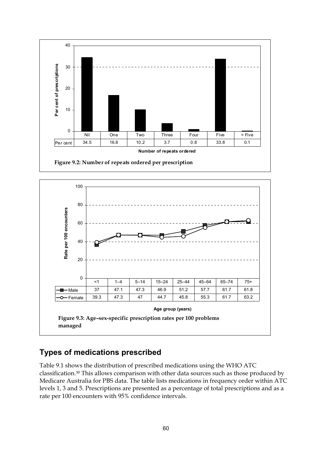



### **Types of medications prescribed**

Table 9.1 shows the distribution of prescribed medications using the WHO ATC classification.30 This allows comparison with other data sources such as those produced by Medicare Australia for PBS data. The table lists medications in frequency order within ATC levels 1, 3 and 5. Prescriptions are presented as a percentage of total prescriptions and as a rate per 100 encounters with 95% confidence intervals.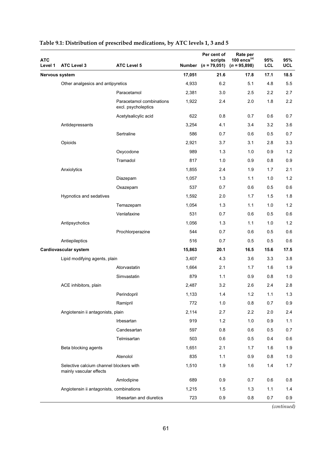| <b>ATC</b><br>Level 1 | <b>ATC Level 3</b>                                                 | <b>ATC Level 5</b>                              |        | Per cent of<br>scripts<br>Number $(n = 79,051)$ | Rate per<br>100 encs $(a)$<br>$(n = 95,898)$ | 95%<br>LCL | 95%<br><b>UCL</b> |
|-----------------------|--------------------------------------------------------------------|-------------------------------------------------|--------|-------------------------------------------------|----------------------------------------------|------------|-------------------|
| Nervous system        |                                                                    |                                                 | 17,051 | 21.6                                            | 17.8                                         | 17.1       | 18.5              |
|                       | Other analgesics and antipyretics                                  |                                                 | 4,933  | 6.2                                             | 5.1                                          | 4.8        | 5.5               |
|                       |                                                                    | Paracetamol                                     | 2,381  | 3.0                                             | 2.5                                          | 2.2        | 2.7               |
|                       |                                                                    | Paracetamol combinations<br>excl. psycholeptics | 1,922  | 2.4                                             | 2.0                                          | 1.8        | 2.2               |
|                       |                                                                    | Acetylsalicylic acid                            | 622    | 0.8                                             | 0.7                                          | 0.6        | 0.7               |
|                       | Antidepressants                                                    |                                                 | 3,254  | 4.1                                             | 3.4                                          | 3.2        | 3.6               |
|                       |                                                                    | Sertraline                                      | 586    | 0.7                                             | 0.6                                          | 0.5        | 0.7               |
|                       | Opioids                                                            |                                                 | 2,921  | 3.7                                             | 3.1                                          | 2.8        | 3.3               |
|                       |                                                                    | Oxycodone                                       | 989    | 1.3                                             | 1.0                                          | 0.9        | 1.2               |
|                       |                                                                    | Tramadol                                        | 817    | 1.0                                             | 0.9                                          | 0.8        | 0.9               |
|                       | Anxiolytics                                                        |                                                 | 1,855  | 2.4                                             | 1.9                                          | 1.7        | 2.1               |
|                       |                                                                    | Diazepam                                        | 1,057  | 1.3                                             | 1.1                                          | 1.0        | 1.2               |
|                       |                                                                    | Oxazepam                                        | 537    | 0.7                                             | 0.6                                          | 0.5        | 0.6               |
|                       | Hypnotics and sedatives                                            |                                                 | 1,592  | 2.0                                             | 1.7                                          | 1.5        | 1.8               |
|                       |                                                                    | Temazepam                                       | 1.054  | 1.3                                             | 1.1                                          | 1.0        | 1.2               |
|                       |                                                                    | Venlafaxine                                     | 531    | 0.7                                             | 0.6                                          | 0.5        | 0.6               |
|                       | Antipsychotics                                                     |                                                 | 1,056  | 1.3                                             | 1.1                                          | 1.0        | 1.2               |
|                       |                                                                    | Prochlorperazine                                | 544    | 0.7                                             | 0.6                                          | 0.5        | 0.6               |
|                       | Antiepileptics                                                     |                                                 | 516    | 0.7                                             | 0.5                                          | 0.5        | 0.6               |
|                       | Cardiovascular system                                              |                                                 | 15,863 | 20.1                                            | 16.5                                         | 15.6       | 17.5              |
|                       | Lipid modifying agents, plain                                      |                                                 | 3,407  | 4.3                                             | 3.6                                          | 3.3        | 3.8               |
|                       |                                                                    | Atorvastatin                                    | 1,664  | 2.1                                             | 1.7                                          | 1.6        | 1.9               |
|                       |                                                                    | Simvastatin                                     | 879    | 1.1                                             | 0.9                                          | 0.8        | 1.0               |
|                       | ACE inhibitors, plain                                              |                                                 | 2,487  | 3.2                                             | 2.6                                          | 2.4        | 2.8               |
|                       |                                                                    | Perindopril                                     | 1,133  | 1.4                                             | 1.2                                          | 1.1        | 1.3               |
|                       |                                                                    | Ramipril                                        | 772    | 1.0                                             | 0.8                                          | 0.7        | 0.9               |
|                       | Angiotensin ii antagonists, plain                                  |                                                 | 2,114  | 2.7                                             | 2.2                                          | 2.0        | 2.4               |
|                       |                                                                    | Irbesartan                                      | 919    | 1.2                                             | 1.0                                          | 0.9        | 1.1               |
|                       |                                                                    | Candesartan                                     | 597    | 0.8                                             | 0.6                                          | 0.5        | 0.7               |
|                       |                                                                    | Telmisartan                                     | 503    | 0.6                                             | 0.5                                          | 0.4        | 0.6               |
|                       | Beta blocking agents                                               |                                                 | 1,651  | 2.1                                             | 1.7                                          | 1.6        | 1.9               |
|                       |                                                                    | Atenolol                                        | 835    | 1.1                                             | 0.9                                          | 0.8        | 1.0               |
|                       | Selective calcium channel blockers with<br>mainly vascular effects |                                                 | 1,510  | 1.9                                             | 1.6                                          | 1.4        | 1.7               |
|                       |                                                                    | Amlodipine                                      | 689    | 0.9                                             | 0.7                                          | 0.6        | 0.8               |
|                       | Angiotensin ii antagonists, combinations                           |                                                 | 1,215  | 1.5                                             | 1.3                                          | 1.1        | $1.4$             |
|                       |                                                                    | Irbesartan and diuretics                        | 723    | 0.9                                             | 0.8                                          | 0.7        | 0.9               |

#### **Table 9.1: Distribution of prescribed medications, by ATC levels 1, 3 and 5**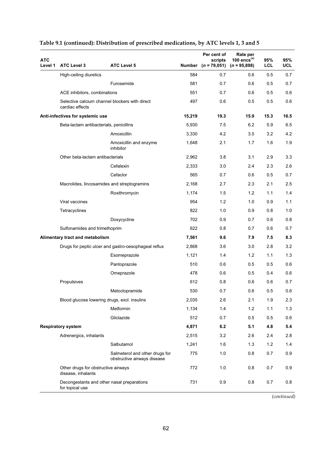| <b>ATC</b><br>Level 1 | <b>ATC Level 3</b>                                                | <b>ATC Level 5</b>                                            |        | Per cent of<br>scripts<br>Number $(n = 79,051)$ | Rate per<br>100 encs $(a)$<br>$(n = 95,898)$ | 95%<br><b>LCL</b> | 95%<br><b>UCL</b> |
|-----------------------|-------------------------------------------------------------------|---------------------------------------------------------------|--------|-------------------------------------------------|----------------------------------------------|-------------------|-------------------|
|                       | High-ceiling diuretics                                            |                                                               | 584    | 0.7                                             | 0.6                                          | 0.5               | 0.7               |
|                       |                                                                   | Furosemide                                                    | 581    | 0.7                                             | 0.6                                          | 0.5               | 0.7               |
|                       | ACE inhibitors, combinations                                      |                                                               | 551    | 0.7                                             | 0.6                                          | 0.5               | 0.6               |
|                       | Selective calcium channel blockers with direct<br>cardiac effects |                                                               | 497    | 0.6                                             | 0.5                                          | 0.5               | 0.6               |
|                       | Anti-infectives for systemic use                                  |                                                               | 15,219 | 19.3                                            | 15.9                                         | 15.3              | 16.5              |
|                       | Beta-lactam antibacterials, penicillins                           |                                                               | 5,930  | 7.5                                             | 6.2                                          | 5.9               | 6.5               |
|                       |                                                                   | Amoxicillin                                                   | 3,330  | 4.2                                             | 3.5                                          | 3.2               | 4.2               |
|                       |                                                                   | Amoxicillin and enzyme<br>inhibitor                           | 1,648  | 2.1                                             | 1.7                                          | 1.6               | 1.9               |
|                       | Other beta-lactam antibacterials                                  |                                                               | 2,962  | 3.8                                             | 3.1                                          | 2.9               | 3.3               |
|                       |                                                                   | Cefalexin                                                     | 2,333  | 3.0                                             | 2.4                                          | 2.3               | 2.6               |
|                       |                                                                   | Cefaclor                                                      | 565    | 0.7                                             | 0.6                                          | 0.5               | 0.7               |
|                       | Macrolides, lincosamides and streptogramins                       |                                                               | 2,168  | 2.7                                             | 2.3                                          | 2.1               | 2.5               |
|                       |                                                                   | Roxithromycin                                                 | 1,174  | 1.5                                             | 1.2                                          | 1.1               | 1.4               |
|                       | Viral vaccines                                                    |                                                               | 954    | 1.2                                             | 1.0                                          | 0.9               | 1.1               |
|                       | Tetracyclines                                                     |                                                               | 822    | 1.0                                             | 0.9                                          | 0.8               | 1.0               |
|                       |                                                                   | Doxycycline                                                   | 702    | 0.9                                             | 0.7                                          | 0.6               | 0.8               |
|                       | Sulfonamides and trimethoprim                                     |                                                               | 622    | 0.8                                             | 0.7                                          | 0.6               | 0.7               |
|                       | Alimentary tract and metabolism                                   |                                                               | 7,561  | 9.6                                             | 7.9                                          | 7.5               | 8.3               |
|                       |                                                                   | Drugs for peptic ulcer and gastro-oesophageal reflux          | 2,868  | 3.6                                             | 3.0                                          | 2.8               | 3.2               |
|                       |                                                                   | Esomeprazole                                                  | 1,121  | 1.4                                             | 1.2                                          | 1.1               | 1.3               |
|                       |                                                                   | Pantoprazole                                                  | 510    | 0.6                                             | 0.5                                          | 0.5               | 0.6               |
|                       |                                                                   | Omeprazole                                                    | 478    | 0.6                                             | 0.5                                          | 0.4               | 0.6               |
|                       | Propulsives                                                       |                                                               | 612    | 0.8                                             | 0.6                                          | 0.6               | 0.7               |
|                       |                                                                   | Metoclopramide                                                | 530    | 0.7                                             | 0.6                                          | 0.5               | 0.6               |
|                       | Blood glucose lowering drugs, excl. insulins                      |                                                               | 2,035  | 2.6                                             | 2.1                                          | 1.9               | $2.3\,$           |
|                       |                                                                   | Metformin                                                     | 1,134  | 1.4                                             | 1.2                                          | 1.1               | 1.3               |
|                       |                                                                   | Gliclazide                                                    | 512    | 0.7                                             | 0.5                                          | 0.5               | 0.6               |
|                       | <b>Respiratory system</b>                                         |                                                               | 4,871  | 6.2                                             | 5.1                                          | 4.8               | 5.4               |
|                       | Adrenergics, inhalants                                            |                                                               | 2,515  | 3.2                                             | 2.6                                          | 2.4               | 2.8               |
|                       |                                                                   | Salbutamol                                                    | 1,241  | 1.6                                             | 1.3                                          | 1.2               | 1.4               |
|                       |                                                                   | Salmeterol and other drugs for<br>obstructive airways disease | 775    | 1.0                                             | 0.8                                          | 0.7               | 0.9               |
|                       | Other drugs for obstructive airways<br>disease, inhalants         |                                                               | 772    | 1.0                                             | 0.8                                          | 0.7               | 0.9               |
|                       | Decongestants and other nasal preparations<br>for topical use     |                                                               | 731    | 0.9                                             | 0.8                                          | $0.7\,$           | 0.8               |

#### **Table 9.1 (continued): Distribution of prescribed medications, by ATC levels 1, 3 and 5**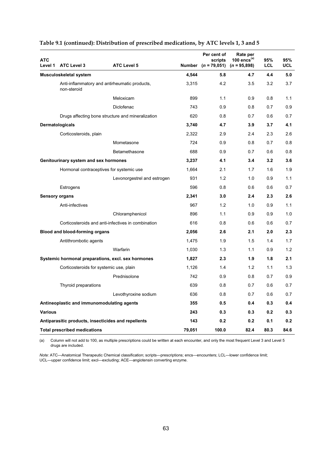| <b>ATC</b><br>Level 1 |                                              | <b>ATC Level 5</b>                                  |                 | Per cent of<br>scripts | Rate per<br>100 encs $(a)$ | 95%               | 95%               |
|-----------------------|----------------------------------------------|-----------------------------------------------------|-----------------|------------------------|----------------------------|-------------------|-------------------|
|                       | <b>ATC Level 3</b><br>Musculoskeletal system |                                                     | Number<br>4,544 | $(n = 79,051)$<br>5.8  | $(n = 95,898)$<br>4.7      | <b>LCL</b><br>4.4 | <b>UCL</b><br>5.0 |
|                       | non-steroid                                  | Anti-inflammatory and antirheumatic products,       | 3,315           | 4.2                    | 3.5                        | 3.2               | 3.7               |
|                       |                                              | Meloxicam                                           | 899             | 1.1                    | 0.9                        | 0.8               | 1.1               |
|                       |                                              | Diclofenac                                          | 743             | 0.9                    | 0.8                        | 0.7               | 0.9               |
|                       |                                              | Drugs affecting bone structure and mineralization   | 620             | 0.8                    | 0.7                        | 0.6               | 0.7               |
|                       | Dermatologicals                              |                                                     | 3,740           | 4.7                    | 3.9                        | 3.7               | 4.1               |
|                       | Corticosteroids, plain                       |                                                     | 2,322           | 2.9                    | 2.4                        | 2.3               | 2.6               |
|                       |                                              | Mometasone                                          | 724             | 0.9                    | 0.8                        | 0.7               | 0.8               |
|                       |                                              | Betamethasone                                       | 688             | 0.9                    | 0.7                        | 0.6               | 0.8               |
|                       | Genitourinary system and sex hormones        |                                                     | 3,237           | 4.1                    | 3.4                        | 3.2               | 3.6               |
|                       |                                              | Hormonal contraceptives for systemic use            | 1,664           | 2.1                    | 1.7                        | 1.6               | 1.9               |
|                       |                                              | Levonorgestrel and estrogen                         | 931             | 1.2                    | 1.0                        | 0.9               | 1.1               |
|                       | Estrogens                                    |                                                     | 596             | 0.8                    | 0.6                        | 0.6               | 0.7               |
|                       | <b>Sensory organs</b>                        |                                                     | 2,341           | 3.0                    | 2.4                        | 2.3               | 2.6               |
|                       | Anti-infectives                              |                                                     | 967             | 1.2                    | 1.0                        | 0.9               | 1.1               |
|                       |                                              | Chloramphenicol                                     | 896             | 1.1                    | 0.9                        | 0.9               | 1.0               |
|                       |                                              | Corticosteroids and anti-infectives in combination  | 616             | 0.8                    | 0.6                        | 0.6               | 0.7               |
|                       | <b>Blood and blood-forming organs</b>        |                                                     | 2,056           | 2.6                    | 2.1                        | 2.0               | 2.3               |
|                       | Antithrombotic agents                        |                                                     | 1,475           | 1.9                    | 1.5                        | 1.4               | 1.7               |
|                       |                                              | Warfarin                                            | 1,030           | 1.3                    | 1.1                        | 0.9               | 1.2               |
|                       |                                              | Systemic hormonal preparations, excl. sex hormones  | 1,827           | 2.3                    | 1.9                        | 1.8               | 2.1               |
|                       | Corticosteroids for systemic use, plain      |                                                     | 1,126           | 1.4                    | 1.2                        | 1.1               | 1.3               |
|                       |                                              | Prednisolone                                        | 742             | 0.9                    | 0.8                        | 0.7               | 0.9               |
|                       | Thyroid preparations                         |                                                     | 639             | 0.8                    | 0.7                        | 0.6               | 0.7               |
|                       |                                              | Levothyroxine sodium                                | 636             | 0.8                    | 0.7                        | 0.6               | 0.7               |
|                       | Antineoplastic and immunomodulating agents   |                                                     | 355             | 0.5                    | 0.4                        | 0.3               | 0.4               |
| <b>Various</b>        |                                              |                                                     | 243             | 0.3                    | 0.3                        | 0.2               | 0.3               |
|                       |                                              | Antiparasitic products, insecticides and repellents | 143             | 0.2                    | 0.2                        | 0.1               | 0.2               |
|                       | <b>Total prescribed medications</b>          |                                                     | 79,051          | 100.0                  | 82.4                       | 80.3              | 84.6              |

#### **Table 9.1 (continued): Distribution of prescribed medications, by ATC levels 1, 3 and 5**

(a) Column will not add to 100, as multiple prescriptions could be written at each encounter, and only the most frequent Level 3 and Level 5 drugs are included.

*Note:* ATC—Anatomical Therapeutic Chemical classification; scripts—prescriptions; encs—encounters; LCL—lower confidence limit; UCL—upper confidence limit; excl—excluding; ACE—angiotensin converting enzyme.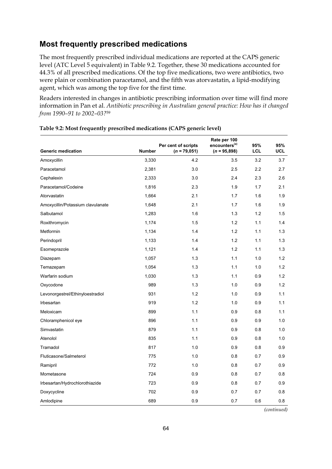### **Most frequently prescribed medications**

The most frequently prescribed individual medications are reported at the CAPS generic level (ATC Level 5 equivalent) in Table 9.2. Together, these 30 medications accounted for 44.3% of all prescribed medications. Of the top five medications, two were antibiotics, two were plain or combination paracetamol, and the fifth was atorvastatin, a lipid-modifying agent, which was among the top five for the first time.

Readers interested in changes in antibiotic prescribing information over time will find more information in Pan et al. *Antibiotic prescribing in Australian general practice: How has it changed from 1990–91 to 2002–03?*<sup>59</sup>

|                                   |               | Per cent of scripts | Rate per 100<br>encounters <sup>(a)</sup> | 95%        | 95%        |
|-----------------------------------|---------------|---------------------|-------------------------------------------|------------|------------|
| <b>Generic medication</b>         | <b>Number</b> | $(n = 79,051)$      | $(n = 95,898)$                            | <b>LCL</b> | <b>UCL</b> |
| Amoxycillin                       | 3,330         | 4.2                 | 3.5                                       | 3.2        | 3.7        |
| Paracetamol                       | 2,381         | 3.0                 | 2.5                                       | 2.2        | 2.7        |
| Cephalexin                        | 2,333         | 3.0                 | 2.4                                       | 2.3        | 2.6        |
| Paracetamol/Codeine               | 1,816         | 2.3                 | 1.9                                       | 1.7        | 2.1        |
| Atorvastatin                      | 1,664         | 2.1                 | 1.7                                       | 1.6        | 1.9        |
| Amoxycillin/Potassium clavulanate | 1,648         | 2.1                 | 1.7                                       | 1.6        | 1.9        |
| Salbutamol                        | 1,283         | 1.6                 | 1.3                                       | 1.2        | 1.5        |
| Roxithromycin                     | 1,174         | 1.5                 | 1.2                                       | 1.1        | 1.4        |
| Metformin                         | 1,134         | 1.4                 | 1.2                                       | 1.1        | 1.3        |
| Perindopril                       | 1,133         | 1.4                 | 1.2                                       | 1.1        | 1.3        |
| Esomeprazole                      | 1,121         | 1.4                 | 1.2                                       | 1.1        | 1.3        |
| Diazepam                          | 1,057         | 1.3                 | 1.1                                       | 1.0        | 1.2        |
| Temazepam                         | 1,054         | 1.3                 | 1.1                                       | 1.0        | 1.2        |
| Warfarin sodium                   | 1,030         | 1.3                 | 1.1                                       | 0.9        | 1.2        |
| Oxycodone                         | 989           | 1.3                 | 1.0                                       | 0.9        | 1.2        |
| Levonorgestrel/Ethinyloestradiol  | 931           | 1.2                 | 1.0                                       | 0.9        | 1.1        |
| Irbesartan                        | 919           | 1.2                 | 1.0                                       | 0.9        | 1.1        |
| Meloxicam                         | 899           | 1.1                 | 0.9                                       | 0.8        | 1.1        |
| Chloramphenicol eye               | 896           | 1.1                 | 0.9                                       | 0.9        | 1.0        |
| Simvastatin                       | 879           | 1.1                 | 0.9                                       | 0.8        | 1.0        |
| Atenolol                          | 835           | 1.1                 | 0.9                                       | 0.8        | 1.0        |
| Tramadol                          | 817           | 1.0                 | 0.9                                       | 0.8        | 0.9        |
| Fluticasone/Salmeterol            | 775           | 1.0                 | 0.8                                       | 0.7        | 0.9        |
| Ramipril                          | 772           | 1.0                 | 0.8                                       | 0.7        | 0.9        |
| Mometasone                        | 724           | 0.9                 | 0.8                                       | 0.7        | 0.8        |
| Irbesartan/Hydrochlorothiazide    | 723           | 0.9                 | 0.8                                       | 0.7        | 0.9        |
| Doxycycline                       | 702           | 0.9                 | 0.7                                       | 0.7        | 0.8        |
| Amlodipine                        | 689           | 0.9                 | 0.7                                       | 0.6        | 0.8        |

| Table 9.2: Most frequently prescribed medications (CAPS generic level) |  |  |
|------------------------------------------------------------------------|--|--|
|------------------------------------------------------------------------|--|--|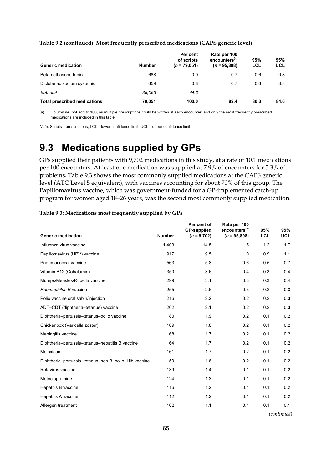| <b>Generic medication</b>           | <b>Number</b> | Per cent<br>of scripts<br>$(n = 79,051)$ | Rate per 100<br>encounters <sup>(a)</sup><br>$(n = 95,898)$ | 95%<br>LCL | 95%<br><b>UCL</b> |
|-------------------------------------|---------------|------------------------------------------|-------------------------------------------------------------|------------|-------------------|
| Betamethasone topical               | 688           | 0.9                                      | 0.7                                                         | 0.6        | 0.8               |
| Diclofenac sodium systemic          | 659           | 0.8                                      | 0.7                                                         | 0.6        | 0.8               |
| Subtotal                            | 35.053        | 44.3                                     |                                                             |            |                   |
| <b>Total prescribed medications</b> | 79.051        | 100.0                                    | 82.4                                                        | 80.3       | 84.6              |

#### **Table 9.2 (continued): Most frequently prescribed medications (CAPS generic level)**

(a) Column will not add to 100, as multiple prescriptions could be written at each encounter, and only the most frequently prescribed medications are included in this table.

*Note:* Scripts—prescriptions; LCL—lower confidence limit; UCL—upper confidence limit.

## **9.3 Medications supplied by GPs**

GPs supplied their patients with 9,702 medications in this study, at a rate of 10.1 medications per 100 encounters. At least one medication was supplied at 7.9% of encounters for 5.3% of problems**.** Table 9.3 shows the most commonly supplied medications at the CAPS generic level (ATC Level 5 equivalent), with vaccines accounting for about 70% of this group. The Papillomavirus vaccine, which was government-funded for a GP-implemented catch-up program for women aged 18–26 years, was the second most commonly supplied medication.

| <b>Generic medication</b>                            | <b>Number</b> | Per cent of<br><b>GP-supplied</b><br>$(n = 9,702)$ | Rate per 100<br>encounters <sup>(a)</sup><br>$(n = 95,898)$ | 95%<br>LCL | 95%<br><b>UCL</b> |
|------------------------------------------------------|---------------|----------------------------------------------------|-------------------------------------------------------------|------------|-------------------|
| Influenza virus vaccine                              | 1,403         | 14.5                                               | 1.5                                                         | 1.2        | 1.7               |
| Papillomavirus (HPV) vaccine                         | 917           | 9.5                                                | 1.0                                                         | 0.9        | 1.1               |
| Pneumococcal vaccine                                 | 563           | 5.8                                                | 0.6                                                         | 0.5        | 0.7               |
| Vitamin B12 (Cobalamin)                              | 350           | 3.6                                                | 0.4                                                         | 0.3        | 0.4               |
| Mumps/Measles/Rubella vaccine                        | 299           | 3.1                                                | 0.3                                                         | 0.3        | 0.4               |
| Haemophilus B vaccine                                | 255           | 2.6                                                | 0.3                                                         | 0.2        | 0.3               |
| Polio vaccine oral sabin/injection                   | 216           | 2.2                                                | 0.2                                                         | 0.2        | 0.3               |
| ADT-CDT (diphtheria-tetanus) vaccine                 | 202           | 2.1                                                | 0.2                                                         | 0.2        | 0.3               |
| Diphtheria-pertussis-tetanus-polio vaccine           | 180           | 1.9                                                | 0.2                                                         | 0.1        | 0.2               |
| Chickenpox (Varicella zoster)                        | 169           | 1.8                                                | 0.2                                                         | 0.1        | 0.2               |
| Meningitis vaccine                                   | 168           | 1.7                                                | 0.2                                                         | 0.1        | 0.2               |
| Diphtheria-pertussis-tetanus-hepatitis B vaccine     | 164           | 1.7                                                | 0.2                                                         | 0.1        | 0.2               |
| Meloxicam                                            | 161           | 1.7                                                | 0.2                                                         | 0.1        | 0.2               |
| Diphtheria-pertussis-tetanus-hep B-polio-Hib vaccine | 159           | 1.6                                                | 0.2                                                         | 0.1        | 0.2               |
| Rotavirus vaccine                                    | 139           | 1.4                                                | 0.1                                                         | 0.1        | 0.2               |
| Metoclopramide                                       | 124           | 1.3                                                | 0.1                                                         | 0.1        | 0.2               |
| Hepatitis B vaccine                                  | 116           | 1.2                                                | 0.1                                                         | 0.1        | 0.2               |
| Hepatitis A vaccine                                  | 112           | 1.2                                                | 0.1                                                         | 0.1        | 0.2               |
| Allergen treatment                                   | 102           | 1.1                                                | 0.1                                                         | 0.1        | 0.1               |

**Table 9.3: Medications most frequently supplied by GPs**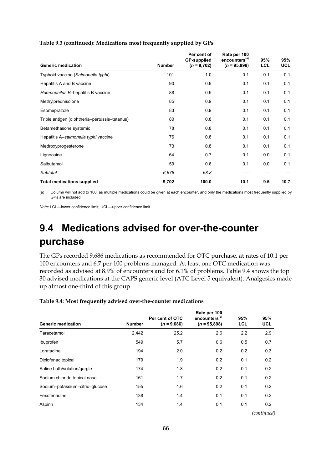|                                               |               | Per cent of<br><b>GP-supplied</b> | Rate per 100<br>encounters <sup>(a)</sup> | 95%        | 95%        |
|-----------------------------------------------|---------------|-----------------------------------|-------------------------------------------|------------|------------|
| <b>Generic medication</b>                     | <b>Number</b> | $(n = 9,702)$                     | $(n = 95,898)$                            | <b>LCL</b> | <b>UCL</b> |
| Typhoid vaccine (Salmonella typhi)            | 101           | 1.0                               | 0.1                                       | 0.1        | 0.1        |
| Hepatitis A and B vaccine                     | 90            | 0.9                               | 0.1                                       | 0.1        | 0.1        |
| Haemophilus B-hepatitis B vaccine             | 88            | 0.9                               | 0.1                                       | 0.1        | 0.1        |
| Methylprednisolone                            | 85            | 0.9                               | 0.1                                       | 0.1        | 0.1        |
| Esomeprazole                                  | 83            | 0.9                               | 0.1                                       | 0.1        | 0.1        |
| Triple antigen (diphtheria-pertussis-tetanus) | 80            | 0.8                               | 0.1                                       | 0.1        | 0.1        |
| Betamethasone systemic                        | 78            | 0.8                               | 0.1                                       | 0.1        | 0.1        |
| Hepatitis A-salmonella typhi vaccine          | 76            | 0.8                               | 0.1                                       | 0.1        | 0.1        |
| Medroxyprogesterone                           | 73            | 0.8                               | 0.1                                       | 0.1        | 0.1        |
| Lignocaine                                    | 64            | 0.7                               | 0.1                                       | 0.0        | 0.1        |
| Salbutamol                                    | 59            | 0.6                               | 0.1                                       | 0.0        | 0.1        |
| Subtotal                                      | 6,678         | 68.8                              |                                           |            |            |
| <b>Total medications supplied</b>             | 9,702         | 100.0                             | 10.1                                      | 9.5        | 10.7       |

**Table 9.3 (continued): Medications most frequently supplied by GPs** 

(a) Column will not add to 100, as multiple medications could be given at each encounter, and only the medications most frequently supplied by GPs are included.

*Note:* LCL—lower confidence limit; UCL—upper confidence limit.

## **9.4 Medications advised for over-the-counter purchase**

The GPs recorded 9,686 medications as recommended for OTC purchase, at rates of 10.1 per 100 encounters and 6.7 per 100 problems managed. At least one OTC medication was recorded as advised at 8.9% of encounters and for 6.1% of problems. Table 9.4 shows the top 30 advised medications at the CAPS generic level (ATC Level 5 equivalent). Analgesics made up almost one-third of this group.

| <b>Generic medication</b>       | <b>Number</b> | Per cent of OTC<br>$(n = 9,686)$ | Rate per 100<br>encounters <sup>(a)</sup><br>$(n = 95,898)$ | 95%<br><b>LCL</b> | 95%<br><b>UCL</b> |
|---------------------------------|---------------|----------------------------------|-------------------------------------------------------------|-------------------|-------------------|
| Paracetamol                     | 2,442         | 25.2                             | 2.6                                                         | 2.2               | 2.9               |
| Ibuprofen                       | 549           | 5.7                              | 0.6                                                         | 0.5               | 0.7               |
| Loratadine                      | 194           | 2.0                              | 0.2                                                         | 0.2               | 0.3               |
| Diclofenac topical              | 179           | 1.9                              | 0.2                                                         | 0.1               | 0.2               |
| Saline bath/solution/gargle     | 174           | 1.8                              | 0.2                                                         | 0.1               | 0.2               |
| Sodium chloride topical nasal   | 161           | 1.7                              | 0.2                                                         | 0.1               | 0.2               |
| Sodium-potassium-citric-glucose | 155           | 1.6                              | 0.2                                                         | 0.1               | 0.2               |
| Fexofenadine                    | 138           | 1.4                              | 0.1                                                         | 0.1               | 0.2               |
| Aspirin                         | 134           | 1.4                              | 0.1                                                         | 0.1               | 0.2               |

**Table 9.4: Most frequently advised over-the-counter medications**